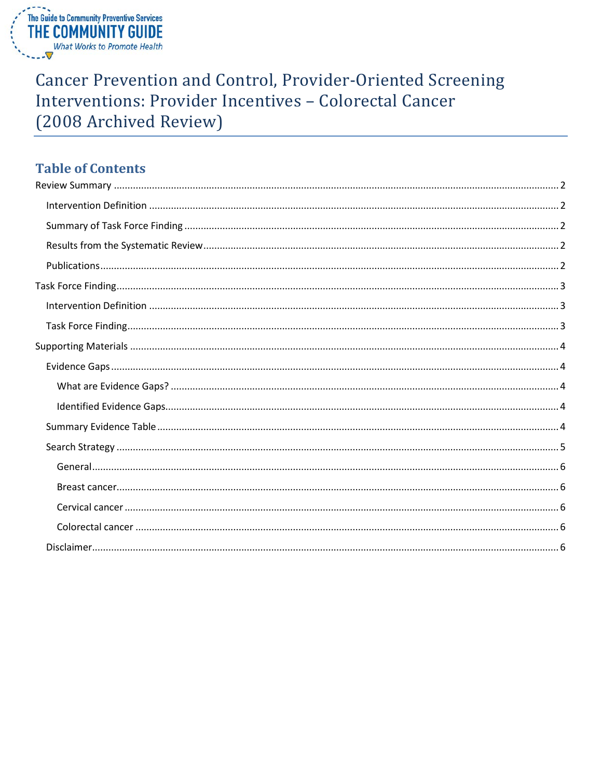

# **Cancer Prevention and Control, Provider-Oriented Screening** Interventions: Provider Incentives - Colorectal Cancer (2008 Archived Review)

# **Table of Contents**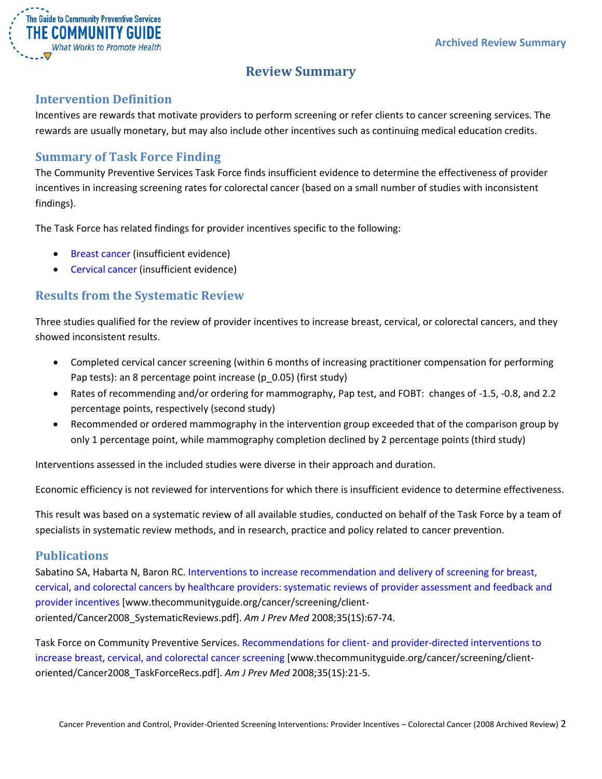

# **Review Summary**

### <span id="page-1-1"></span><span id="page-1-0"></span>**Intervention Definition**

Incentives are rewards that motivate providers to perform screening or refer clients to cancer screening services. The rewards are usually monetary, but may also include other incentives such as continuing medical education credits.

## <span id="page-1-2"></span>**Summary of Task Force Finding**

The Community Preventive Services Task Force finds insufficient evidence to determine the effectiveness of provider incentives in increasing screening rates for colorectal cancer (based on a small number of studies with inconsistent findings).

The Task Force has related findings for provider incentives specific to the following:

- Breast cancer (insufficient evidence)
- Cervical cancer (insufficient evidence)

# <span id="page-1-3"></span>**Results from the Systematic Review**

Three studies qualified for the review of provider incentives to increase breast, cervical, or colorectal cancers, and they showed inconsistent results.

- Completed cervical cancer screening (within 6 months of increasing practitioner compensation for performing Pap tests): an 8 percentage point increase (p\_0.05) (first study)
- Rates of recommending and/or ordering for mammography, Pap test, and FOBT: changes of -1.5, -0.8, and 2.2 percentage points, respectively (second study)
- Recommended or ordered mammography in the intervention group exceeded that of the comparison group by only 1 percentage point, while mammography completion declined by 2 percentage points (third study)

Interventions assessed in the included studies were diverse in their approach and duration.

Economic efficiency is not reviewed for interventions for which there is insufficient evidence to determine effectiveness.

This result was based on a systematic review of all available studies, conducted on behalf of the Task Force by a team of specialists in systematic review methods, and in research, practice and policy related to cancer prevention.

### <span id="page-1-4"></span>**Publications**

Sabatino SA, Habarta N, Baron RC. [Interventions to increase recommendation and delivery of screening for breast,](http://www.thecommunityguide.org/cancer/screening/client-oriented/Cancer2008_SystematicReviews.pdf)  [cervical, and colorectal cancers by healthcare providers: systematic reviews of provider assessment and feedback and](http://www.thecommunityguide.org/cancer/screening/client-oriented/Cancer2008_SystematicReviews.pdf)  [provider incentives](http://www.thecommunityguide.org/cancer/screening/client-oriented/Cancer2008_SystematicReviews.pdf) [www.thecommunityguide.org/cancer/screening/clientoriented/Cancer2008\_SystematicReviews.pdf]. *Am J Prev Med* 2008;35(1S):67-74.

Task Force on Community Preventive Services. Recommendations for client- [and provider-directed interventions to](http://www.thecommunityguide.org/cancer/screening/client-oriented/Cancer2008_TaskForceRecs.pdf)  [increase breast, cervical, and colorectal cancer screening](http://www.thecommunityguide.org/cancer/screening/client-oriented/Cancer2008_TaskForceRecs.pdf) [www.thecommunityguide.org/cancer/screening/clientoriented/Cancer2008\_TaskForceRecs.pdf]. *Am J Prev Med* 2008;35(1S):21-5.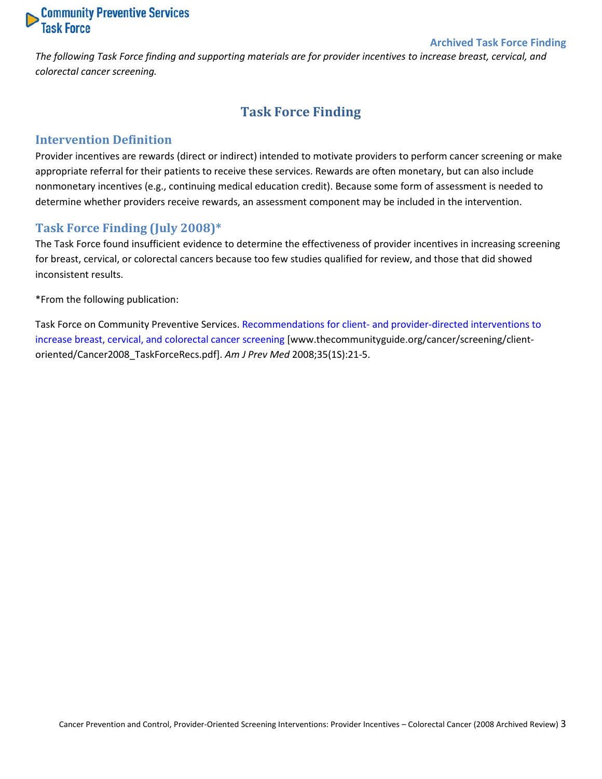

#### **Archived Task Force Finding**

<span id="page-2-0"></span>*The following Task Force finding and supporting materials are for provider incentives to increase breast, cervical, and colorectal cancer screening.*

# **Task Force Finding**

#### <span id="page-2-1"></span>**Intervention Definition**

Provider incentives are rewards (direct or indirect) intended to motivate providers to perform cancer screening or make appropriate referral for their patients to receive these services. Rewards are often monetary, but can also include nonmonetary incentives (e.g., continuing medical education credit). Because some form of assessment is needed to determine whether providers receive rewards, an assessment component may be included in the intervention.

#### <span id="page-2-2"></span>**Task Force Finding (July 2008)\***

The Task Force found insufficient evidence to determine the effectiveness of provider incentives in increasing screening for breast, cervical, or colorectal cancers because too few studies qualified for review, and those that did showed inconsistent results.

\*From the following publication:

Task Force on Community Preventive Services. Recommendations for client- [and provider-directed interventions to](http://www.thecommunityguide.org/cancer/screening/client-oriented/Cancer2008_TaskForceRecs.pdf)  [increase breast, cervical, and](http://www.thecommunityguide.org/cancer/screening/client-oriented/Cancer2008_TaskForceRecs.pdf) colorectal cancer screening [www.thecommunityguide.org/cancer/screening/clientoriented/Cancer2008\_TaskForceRecs.pdf]. *Am J Prev Med* 2008;35(1S):21-5.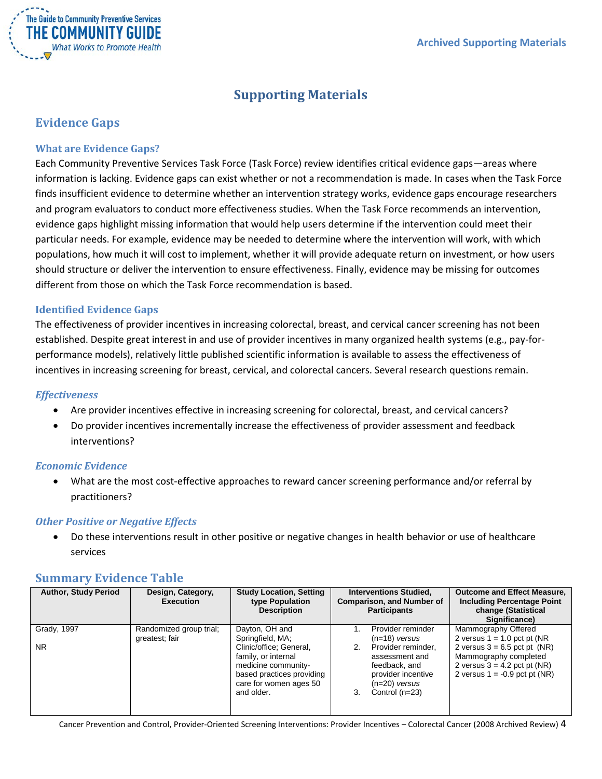

# **Supporting Materials**

# <span id="page-3-1"></span><span id="page-3-0"></span>**Evidence Gaps**

#### <span id="page-3-2"></span>**What are Evidence Gaps?**

Each Community Preventive Services Task Force (Task Force) review identifies critical evidence gaps—areas where information is lacking. Evidence gaps can exist whether or not a recommendation is made. In cases when the Task Force finds insufficient evidence to determine whether an intervention strategy works, evidence gaps encourage researchers and program evaluators to conduct more effectiveness studies. When the Task Force recommends an intervention, evidence gaps highlight missing information that would help users determine if the intervention could meet their particular needs. For example, evidence may be needed to determine where the intervention will work, with which populations, how much it will cost to implement, whether it will provide adequate return on investment, or how users should structure or deliver the intervention to ensure effectiveness. Finally, evidence may be missing for outcomes different from those on which the Task Force recommendation is based.

#### <span id="page-3-3"></span>**Identified Evidence Gaps**

The effectiveness of provider incentives in increasing colorectal, breast, and cervical cancer screening has not been established. Despite great interest in and use of provider incentives in many organized health systems (e.g., pay-forperformance models), relatively little published scientific information is available to assess the effectiveness of incentives in increasing screening for breast, cervical, and colorectal cancers. Several research questions remain.

#### *Effectiveness*

- Are provider incentives effective in increasing screening for colorectal, breast, and cervical cancers?
- Do provider incentives incrementally increase the effectiveness of provider assessment and feedback interventions?

#### *Economic Evidence*

• What are the most cost-effective approaches to reward cancer screening performance and/or referral by practitioners?

#### *Other Positive or Negative Effects*

• Do these interventions result in other positive or negative changes in health behavior or use of healthcare services

### <span id="page-3-4"></span>**Summary Evidence Table**

| <b>Author, Study Period</b> | Design, Category,<br><b>Execution</b>     | <b>Study Location, Setting</b><br>type Population<br><b>Description</b>                                                                    | <b>Interventions Studied,</b><br><b>Comparison, and Number of</b><br><b>Participants</b>                                              | <b>Outcome and Effect Measure,</b><br><b>Including Percentage Point</b><br>change (Statistical<br>Significance)              |
|-----------------------------|-------------------------------------------|--------------------------------------------------------------------------------------------------------------------------------------------|---------------------------------------------------------------------------------------------------------------------------------------|------------------------------------------------------------------------------------------------------------------------------|
| Grady, 1997                 | Randomized group trial;<br>greatest; fair | Dayton, OH and<br>Springfield, MA;                                                                                                         | Provider reminder                                                                                                                     | Mammography Offered<br>2 versus $1 = 1.0$ pct pt (NR)                                                                        |
| NR.                         |                                           | Clinic/office; General,<br>family, or internal<br>medicine community-<br>based practices providing<br>care for women ages 50<br>and older. | $(n=18)$ versus<br>Provider reminder,<br>assessment and<br>feedback, and<br>provider incentive<br>$(n=20)$ versus<br>Control $(n=23)$ | 2 versus $3 = 6.5$ pct pt (NR)<br>Mammography completed<br>2 versus $3 = 4.2$ pct pt (NR)<br>2 versus $1 = -0.9$ pct pt (NR) |

Cancer Prevention and Control, Provider-Oriented Screening Interventions: Provider Incentives – Colorectal Cancer (2008 Archived Review) 4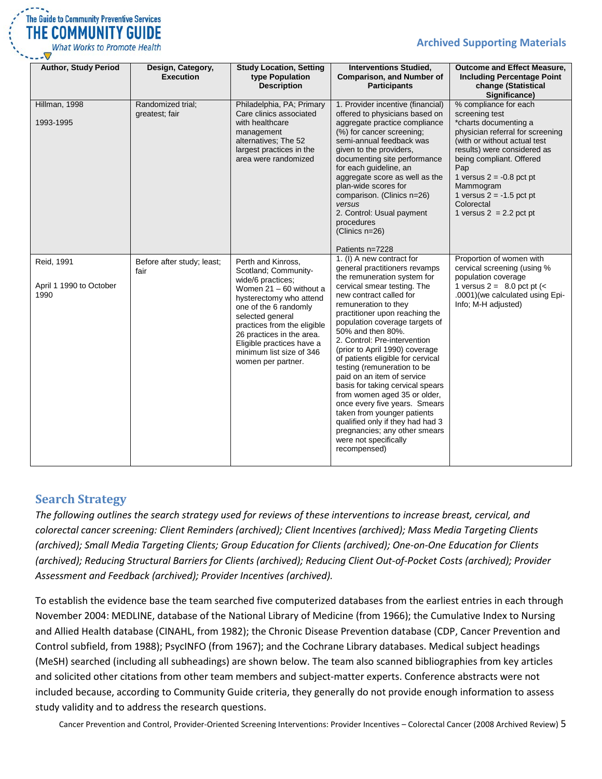

**Archived Supporting Materials**

| <b>Author, Study Period</b>                   | Design, Category,<br><b>Execution</b> | <b>Study Location, Setting</b><br>type Population<br><b>Description</b>                                                                                                                                                                                                                                         | <b>Interventions Studied,</b><br><b>Comparison, and Number of</b><br><b>Participants</b>                                                                                                                                                                                                                                                                                                                                                                                                                                                                                                                                                                                                                      | <b>Outcome and Effect Measure,</b><br><b>Including Percentage Point</b><br>change (Statistical<br>Significance)                                                                                                                                                                                                            |
|-----------------------------------------------|---------------------------------------|-----------------------------------------------------------------------------------------------------------------------------------------------------------------------------------------------------------------------------------------------------------------------------------------------------------------|---------------------------------------------------------------------------------------------------------------------------------------------------------------------------------------------------------------------------------------------------------------------------------------------------------------------------------------------------------------------------------------------------------------------------------------------------------------------------------------------------------------------------------------------------------------------------------------------------------------------------------------------------------------------------------------------------------------|----------------------------------------------------------------------------------------------------------------------------------------------------------------------------------------------------------------------------------------------------------------------------------------------------------------------------|
| Hillman, 1998<br>1993-1995                    | Randomized trial;<br>greatest; fair   | Philadelphia, PA; Primary<br>Care clinics associated<br>with healthcare<br>management<br>alternatives; The 52<br>largest practices in the<br>area were randomized                                                                                                                                               | 1. Provider incentive (financial)<br>offered to physicians based on<br>aggregate practice compliance<br>(%) for cancer screening;<br>semi-annual feedback was<br>given to the providers,<br>documenting site performance<br>for each guideline, an<br>aggregate score as well as the<br>plan-wide scores for<br>comparison. (Clinics n=26)<br>versus<br>2. Control: Usual payment<br>procedures<br>(Clinics $n=26$ )                                                                                                                                                                                                                                                                                          | % compliance for each<br>screening test<br>*charts documenting a<br>physician referral for screening<br>(with or without actual test<br>results) were considered as<br>being compliant. Offered<br>Pap<br>1 versus $2 = -0.8$ pct pt<br>Mammogram<br>1 versus $2 = -1.5$ pct pt<br>Colorectal<br>1 versus $2 = 2.2$ pct pt |
| Reid, 1991<br>April 1 1990 to October<br>1990 | Before after study; least;<br>fair    | Perth and Kinross,<br>Scotland; Community-<br>wide/6 practices;<br>Women $21 - 60$ without a<br>hysterectomy who attend<br>one of the 6 randomly<br>selected general<br>practices from the eligible<br>26 practices in the area.<br>Eligible practices have a<br>minimum list size of 346<br>women per partner. | Patients n=7228<br>1. (I) A new contract for<br>general practitioners revamps<br>the remuneration system for<br>cervical smear testing. The<br>new contract called for<br>remuneration to they<br>practitioner upon reaching the<br>population coverage targets of<br>50% and then 80%.<br>2. Control: Pre-intervention<br>(prior to April 1990) coverage<br>of patients eligible for cervical<br>testing (remuneration to be<br>paid on an item of service<br>basis for taking cervical spears<br>from women aged 35 or older,<br>once every five years. Smears<br>taken from younger patients<br>qualified only if they had had 3<br>pregnancies; any other smears<br>were not specifically<br>recompensed) | Proportion of women with<br>cervical screening (using %<br>population coverage<br>1 versus $2 = 8.0$ pct pt $\left\langle \leq 1 \right\rangle$<br>.0001) (we calculated using Epi-<br>Info; M-H adjusted)                                                                                                                 |

# <span id="page-4-0"></span>**Search Strategy**

*The following outlines the search strategy used for reviews of these interventions to increase breast, cervical, and colorectal cancer screening: Client Reminders (archived); Client Incentives (archived); Mass Media Targeting Clients (archived); Small Media Targeting Clients; Group Education for Clients (archived); One-on-One Education for Clients (archived); Reducing Structural Barriers for Clients (archived); Reducing Client Out-of-Pocket Costs (archived); Provider Assessment and Feedback (archived); Provider Incentives (archived).*

To establish the evidence base the team searched five computerized databases from the earliest entries in each through November 2004: MEDLINE, database of the National Library of Medicine (from 1966); the Cumulative Index to Nursing and Allied Health database (CINAHL, from 1982); the Chronic Disease Prevention database (CDP, Cancer Prevention and Control subfield, from 1988); PsycINFO (from 1967); and the Cochrane Library databases. Medical subject headings (MeSH) searched (including all subheadings) are shown below. The team also scanned bibliographies from key articles and solicited other citations from other team members and subject-matter experts. Conference abstracts were not included because, according to Community Guide criteria, they generally do not provide enough information to assess study validity and to address the research questions.

Cancer Prevention and Control, Provider-Oriented Screening Interventions: Provider Incentives – Colorectal Cancer (2008 Archived Review) 5